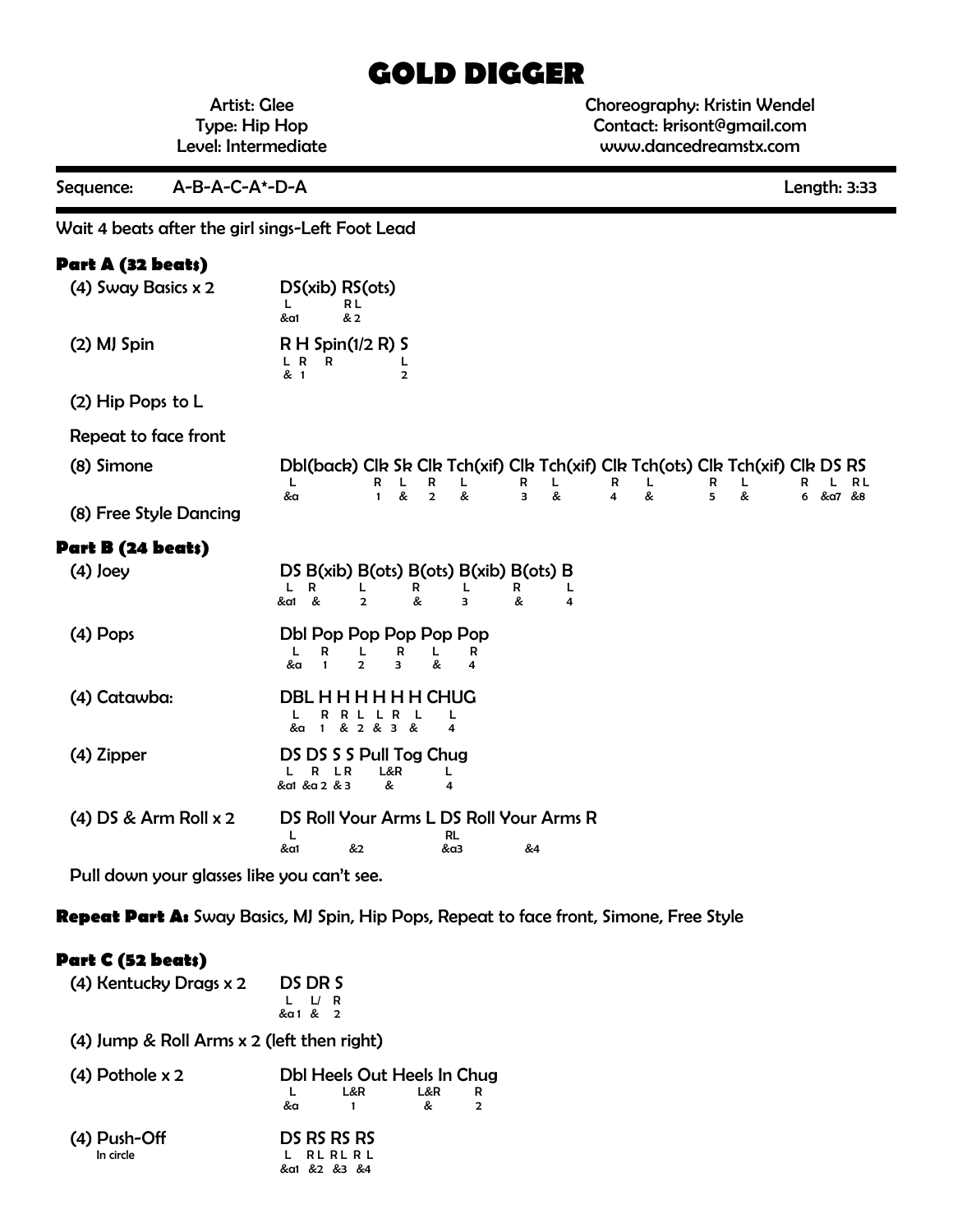# **GOLD DIGGER**

Artist: Glee Type: Hip Hop Level: Intermediate Choreography: Kristin Wendel Contact: krisont@gmail.com www.dancedreamstx.com

| A-B-A-C-A*-D-A<br>Sequence:                      |                                                                                                                                                                                                                                                         | Length: 3:33                          |
|--------------------------------------------------|---------------------------------------------------------------------------------------------------------------------------------------------------------------------------------------------------------------------------------------------------------|---------------------------------------|
| Wait 4 beats after the girl sings-Left Foot Lead |                                                                                                                                                                                                                                                         |                                       |
| Part A (32 beats)                                |                                                                                                                                                                                                                                                         |                                       |
| (4) Sway Basics x 2                              | DS(xib) RS(ots)<br>L<br>RL<br>& 2<br>&a1                                                                                                                                                                                                                |                                       |
| (2) MJ Spin                                      | $R H$ Spin(1/2 R) S<br>L R<br>R<br>L<br>& 1<br>$\overline{2}$                                                                                                                                                                                           |                                       |
| (2) Hip Pops to L                                |                                                                                                                                                                                                                                                         |                                       |
| Repeat to face front                             |                                                                                                                                                                                                                                                         |                                       |
| (8) Simone                                       | Dbl(back) Clk Sk Clk Tch(xif) Clk Tch(xif) Clk Tch(ots) Clk Tch(xif) Clk DS RS<br>L<br>R<br>R<br>L<br>L<br>R<br>L<br>R<br>L<br>R<br>&<br>&<br>&<br>5<br>$\overline{2}$<br>&<br>$\overline{\mathbf{3}}$<br>$\overline{\mathbf{4}}$<br>&a<br>$\mathbf{1}$ | L<br>R<br>RL<br>L<br>&<br>6 &α7<br>&8 |
| (8) Free Style Dancing                           |                                                                                                                                                                                                                                                         |                                       |
| Part B (24 beats)                                |                                                                                                                                                                                                                                                         |                                       |
| $(4)$ Joey                                       | DS $B(xib) B(ots) B(ots) B(xib) B(ots) B$<br>R<br>L<br>L<br>R<br>R<br>L<br>L<br>&a1 &<br>&<br>$\overline{2}$<br>&<br>з<br>4                                                                                                                             |                                       |
| $(4)$ Pops                                       | Dbl Pop Pop Pop Pop Pop<br>R<br>R<br>L<br>L<br>R<br>L<br>$\overline{2}$<br>&<br>&a<br>$\mathbf{1}$<br>3<br>4                                                                                                                                            |                                       |
| (4) Catawba:                                     | <b>DBL H H H H H H CHUG</b><br>R<br>R<br>L<br>L<br>& 2 & 3 &<br>&a<br>4<br>$\mathbf{1}$                                                                                                                                                                 |                                       |
| (4) Zipper                                       | DS DS S S Pull Tog Chug<br>R<br>L&R<br>L R<br>L.<br>L<br>&a1 &a 2 & 3<br>&<br>4                                                                                                                                                                         |                                       |
| $(4)$ DS & Arm Roll $x$ 2                        | DS Roll Your Arms L DS Roll Your Arms R<br>L<br>RL<br>&a1<br>&2<br>&4<br>&α3                                                                                                                                                                            |                                       |

Pull down your glasses like you can't see.

**Repeat Part A:** Sway Basics, MJ Spin, Hip Pops, Repeat to face front, Simone, Free Style

## **Part C (52 beats)**

| (4) Kentucky Drags x 2                       | DS DR S<br>$\mathsf{L}$<br>R<br>&a1 & 2                                          |  |  |  |
|----------------------------------------------|----------------------------------------------------------------------------------|--|--|--|
| $(4)$ Jump & Roll Arms x 2 (left then right) |                                                                                  |  |  |  |
| $(4)$ Pothole x 2                            | Dbl Heels Out Heels In Chug<br>L&R<br>L&R<br>R<br>&<br>&a<br>$\overline{2}$<br>1 |  |  |  |
| (4) Push-Off<br>In circle                    | DS RS RS RS<br>RLRLRL<br>&α1 &2 &3 &4                                            |  |  |  |